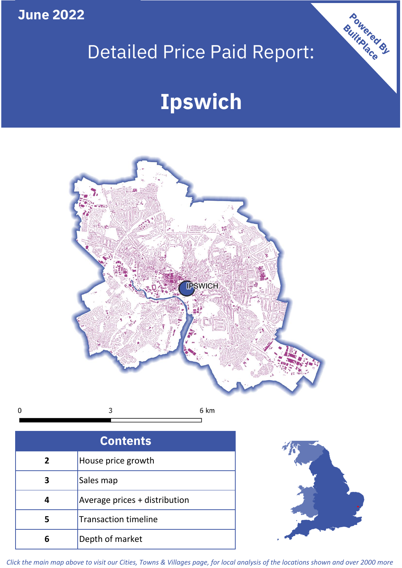**June 2022**

## Detailed Price Paid Report:

# **Ipswich**



 $\mathbf 0$ 3 6 km

| <b>Contents</b> |                               |  |  |
|-----------------|-------------------------------|--|--|
| $\overline{2}$  | House price growth            |  |  |
| 3               | Sales map                     |  |  |
|                 | Average prices + distribution |  |  |
| 5               | <b>Transaction timeline</b>   |  |  |
|                 | Depth of market               |  |  |



Powered By

*Click the main map above to visit our Cities, Towns & Villages page, for local analysis of the locations shown and over 2000 more*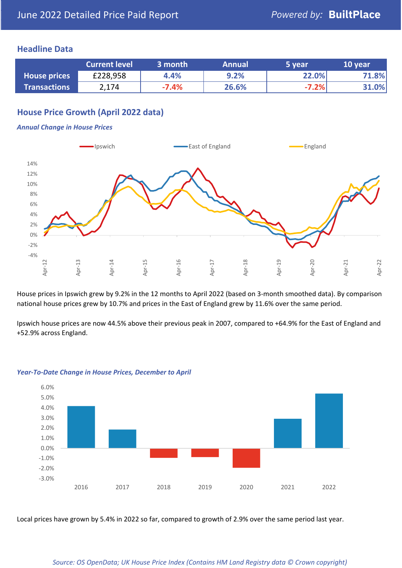## **Headline Data**

|                     | <b>Current level</b> | 3 month | <b>Annual</b> | '5 year | 10 year |
|---------------------|----------------------|---------|---------------|---------|---------|
| <b>House prices</b> | £228,958             | 4.4%    | 9.2%          | 22.0%   | 71.8%   |
| <b>Transactions</b> | 2,174                | $-7.4%$ | 26.6%         | $-7.2%$ | 31.0%   |

## **House Price Growth (April 2022 data)**

#### *Annual Change in House Prices*



House prices in Ipswich grew by 9.2% in the 12 months to April 2022 (based on 3-month smoothed data). By comparison national house prices grew by 10.7% and prices in the East of England grew by 11.6% over the same period.

Ipswich house prices are now 44.5% above their previous peak in 2007, compared to +64.9% for the East of England and +52.9% across England.



#### *Year-To-Date Change in House Prices, December to April*

Local prices have grown by 5.4% in 2022 so far, compared to growth of 2.9% over the same period last year.

#### *Source: OS OpenData; UK House Price Index (Contains HM Land Registry data © Crown copyright)*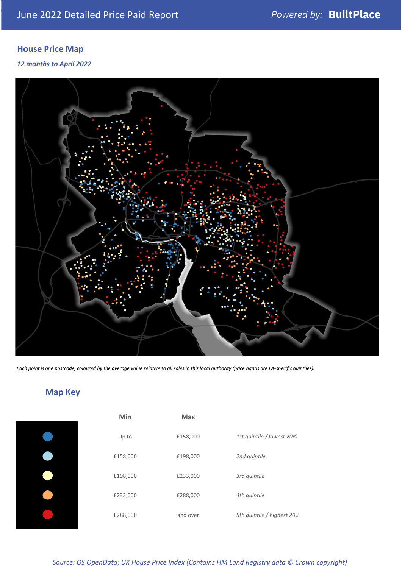## **House Price Map**

*12 months to April 2022*



*Each point is one postcode, coloured by the average value relative to all sales in this local authority (price bands are LA-specific quintiles).*

## **Map Key**

| Min      | Max      |                            |
|----------|----------|----------------------------|
| Up to    | £158,000 | 1st quintile / lowest 20%  |
| £158,000 | £198,000 | 2nd quintile               |
| £198,000 | £233,000 | 3rd quintile               |
| £233,000 | £288,000 | 4th quintile               |
| £288,000 | and over | 5th quintile / highest 20% |

*Source: OS OpenData; UK House Price Index (Contains HM Land Registry data © Crown copyright)*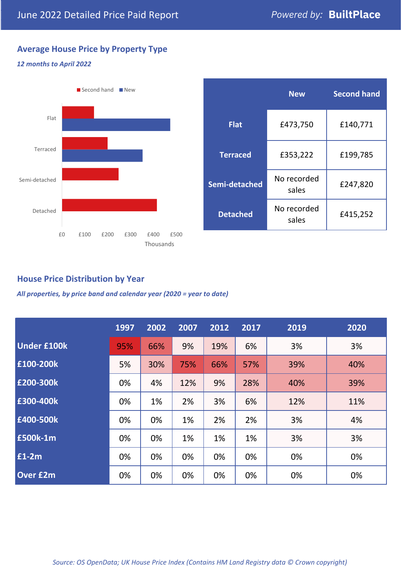## **Average House Price by Property Type**

#### *12 months to April 2022*



|                 | <b>New</b>           | <b>Second hand</b> |  |
|-----------------|----------------------|--------------------|--|
| <b>Flat</b>     | £473,750             | £140,771           |  |
| <b>Terraced</b> | £353,222             | £199,785           |  |
| Semi-detached   | No recorded<br>sales | £247,820           |  |
| <b>Detached</b> | No recorded<br>sales | £415,252           |  |

## **House Price Distribution by Year**

*All properties, by price band and calendar year (2020 = year to date)*

|                    | 1997 | 2002 | 2007 | 2012 | 2017 | 2019 | 2020 |
|--------------------|------|------|------|------|------|------|------|
| <b>Under £100k</b> | 95%  | 66%  | 9%   | 19%  | 6%   | 3%   | 3%   |
| £100-200k          | 5%   | 30%  | 75%  | 66%  | 57%  | 39%  | 40%  |
| £200-300k          | 0%   | 4%   | 12%  | 9%   | 28%  | 40%  | 39%  |
| £300-400k          | 0%   | 1%   | 2%   | 3%   | 6%   | 12%  | 11%  |
| £400-500k          | 0%   | 0%   | 1%   | 2%   | 2%   | 3%   | 4%   |
| <b>£500k-1m</b>    | 0%   | 0%   | 1%   | 1%   | 1%   | 3%   | 3%   |
| £1-2m              | 0%   | 0%   | 0%   | 0%   | 0%   | 0%   | 0%   |
| <b>Over £2m</b>    | 0%   | 0%   | 0%   | 0%   | 0%   | 0%   | 0%   |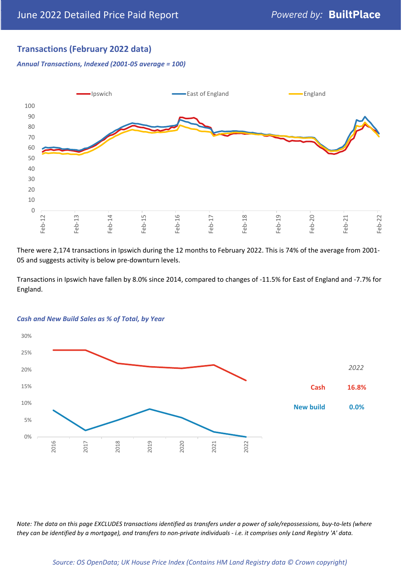## **Transactions (February 2022 data)**

*Annual Transactions, Indexed (2001-05 average = 100)*



There were 2,174 transactions in Ipswich during the 12 months to February 2022. This is 74% of the average from 2001- 05 and suggests activity is below pre-downturn levels.

Transactions in Ipswich have fallen by 8.0% since 2014, compared to changes of -11.5% for East of England and -7.7% for England.



#### *Cash and New Build Sales as % of Total, by Year*

*Note: The data on this page EXCLUDES transactions identified as transfers under a power of sale/repossessions, buy-to-lets (where they can be identified by a mortgage), and transfers to non-private individuals - i.e. it comprises only Land Registry 'A' data.*